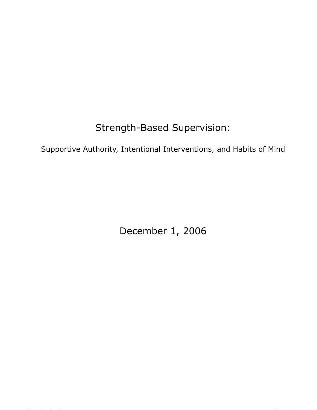# Strength-Based Supervision:

Supportive Authority, Intentional Interventions, and Habits of Mind

December 1, 2006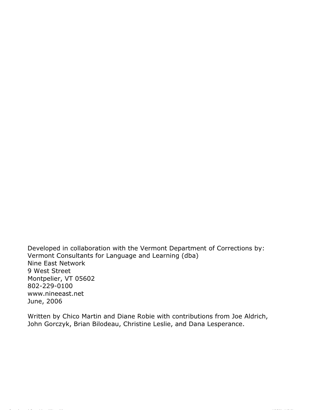Developed in collaboration with the Vermont Department of Corrections by: Vermont Consultants for Language and Learning (dba) Nine East Network 9 West Street Montpelier, VT 05602 802-229-0100 www.nineeast.net June, 2006

Written by Chico Martin and Diane Robie with contributions from Joe Aldrich, John Gorczyk, Brian Bilodeau, Christine Leslie, and Dana Lesperance.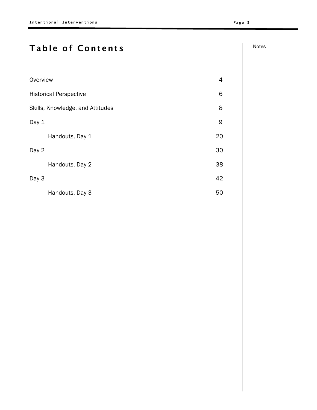# Table of Contents and Allen and Allen and Allen and Allen and Allen and Allen and Allen and Allen and Allen and Allen and Allen and Allen and Allen and Allen and Allen and Allen and Allen and Allen and Allen and Allen and

| Overview                         | 4  |
|----------------------------------|----|
| <b>Historical Perspective</b>    | 6  |
| Skills, Knowledge, and Attitudes | 8  |
| Day 1                            | 9  |
| Handouts, Day 1                  | 20 |
| Day 2                            | 30 |
| Handouts, Day 2                  | 38 |
| Day 3                            | 42 |
| Handouts, Day 3                  | 50 |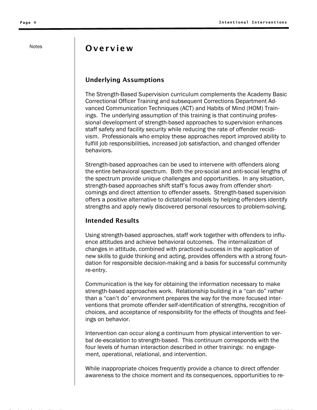# Notes **Overview**

### Underlying Assumptions

The Strength-Based Supervision curriculum complements the Academy Basic Correctional Officer Training and subsequent Corrections Department Advanced Communication Techniques (ACT) and Habits of Mind (HOM) Trainings. The underlying assumption of this training is that continuing professional development of strength-based approaches to supervision enhances staff safety and facility security while reducing the rate of offender recidivism. Professionals who employ these approaches report improved ability to fulfill job responsibilities, increased job satisfaction, and changed offender behaviors.

Strength-based approaches can be used to intervene with offenders along the entire behavioral spectrum. Both the pro-social and anti-social lengths of the spectrum provide unique challenges and opportunities. In any situation, strength-based approaches shift staff's focus away from offender shortcomings and direct attention to offender assets. Strength-based supervision offers a positive alternative to dictatorial models by helping offenders identify strengths and apply newly discovered personal resources to problem-solving.

### Intended Results

Using strength-based approaches, staff work together with offenders to influence attitudes and achieve behavioral outcomes. The internalization of changes in attitude, combined with practiced success in the application of new skills to guide thinking and acting, provides offenders with a strong foundation for responsible decision-making and a basis for successful community re-entry.

Communication is the key for obtaining the information necessary to make strength-based approaches work. Relationship building in a "can do" rather than a "can't do" environment prepares the way for the more focused interventions that promote offender self-identification of strengths, recognition of choices, and acceptance of responsibility for the effects of thoughts and feelings on behavior.

Intervention can occur along a continuum from physical intervention to verbal de-escalation to strength-based. This continuum corresponds with the four levels of human interaction described in other trainings: no engagement, operational, relational, and intervention.

While inappropriate choices frequently provide a chance to direct offender awareness to the choice moment and its consequences, opportunities to re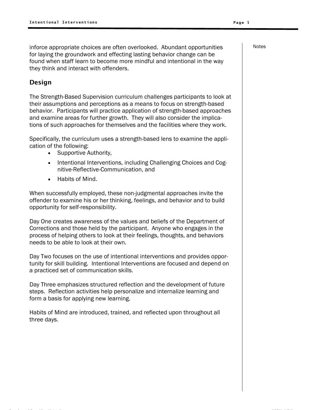for laying the groundwork and effecting lasting behavior change can be found when staff learn to become more mindful and intentional in the way they think and interact with offenders. inforce appropriate choices are often overlooked. Abundant opportunities

### Design

The Strength-Based Supervision curriculum challenges participants to look at their assumptions and perceptions as a means to focus on strength-based behavior. Participants will practice application of strength-based approaches and examine areas for further growth. They will also consider the implications of such approaches for themselves and the facilities where they work.

Specifically, the curriculum uses a strength-based lens to examine the application of the following:

- Supportive Authority,
- Intentional Interventions, including Challenging Choices and Cognitive-Reflective-Communication, and
- Habits of Mind.

When successfully employed, these non-judgmental approaches invite the offender to examine his or her thinking, feelings, and behavior and to build opportunity for self-responsibility.

Day One creates awareness of the values and beliefs of the Department of Corrections and those held by the participant. Anyone who engages in the process of helping others to look at their feelings, thoughts, and behaviors needs to be able to look at their own.

Day Two focuses on the use of intentional interventions and provides opportunity for skill building. Intentional Interventions are focused and depend on a practiced set of communication skills.

Day Three emphasizes structured reflection and the development of future steps. Reflection activities help personalize and internalize learning and form a basis for applying new learning.

Habits of Mind are introduced, trained, and reflected upon throughout all three days.

Notes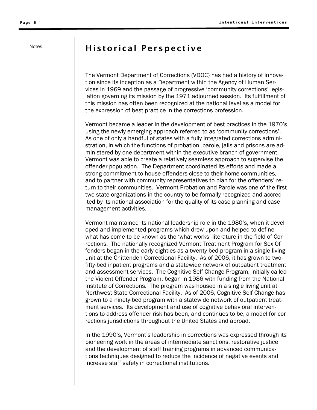# Notes | Historical Perspective

The Vermont Department of Corrections (VDOC) has had a history of innovation since its inception as a Department within the Agency of Human Services in 1969 and the passage of progressive 'community corrections' legislation governing its mission by the 1971 adjourned session. Its fulfillment of this mission has often been recognized at the national level as a model for the expression of best practice in the corrections profession.

Vermont became a leader in the development of best practices in the 1970's using the newly emerging approach referred to as 'community corrections'. As one of only a handful of states with a fully integrated corrections administration, in which the functions of probation, parole, jails and prisons are administered by one department within the executive branch of government, Vermont was able to create a relatively seamless approach to supervise the offender population. The Department coordinated its efforts and made a strong commitment to house offenders close to their home communities, and to partner with community representatives to plan for the offenders' return to their communities. Vermont Probation and Parole was one of the first two state organizations in the country to be formally recognized and accredited by its national association for the quality of its case planning and case management activities.

Vermont maintained its national leadership role in the 1980's, when it developed and implemented programs which drew upon and helped to define what has come to be known as the 'what works' literature in the field of Corrections. The nationally recognized Vermont Treatment Program for Sex Offenders began in the early eighties as a twenty-bed program in a single living unit at the Chittenden Correctional Facility. As of 2006, it has grown to two fifty-bed inpatient programs and a statewide network of outpatient treatment and assessment services. The Cognitive Self Change Program, initially called the Violent Offender Program, began in 1986 with funding from the National Institute of Corrections. The program was housed in a single living unit at Northwest State Correctional Facility. As of 2006, Cognitive Self Change has grown to a ninety-bed program with a statewide network of outpatient treatment services. Its development and use of cognitive behavioral interventions to address offender risk has been, and continues to be, a model for corrections jurisdictions throughout the United States and abroad.

In the 1990's, Vermont's leadership in corrections was expressed through its pioneering work in the areas of intermediate sanctions, restorative justice and the development of staff training programs in advanced communications techniques designed to reduce the incidence of negative events and increase staff safety in correctional institutions.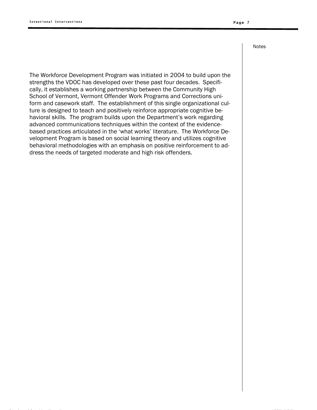The Workforce Development Program was initiated in 2004 to build upon the strengths the VDOC has developed over these past four decades. Specifically, it establishes a working partnership between the Community High School of Vermont, Vermont Offender Work Programs and Corrections uniform and casework staff. The establishment of this single organizational culture is designed to teach and positively reinforce appropriate cognitive behavioral skills. The program builds upon the Department's work regarding advanced communications techniques within the context of the evidencebased practices articulated in the 'what works' literature. The Workforce Development Program is based on social learning theory and utilizes cognitive behavioral methodologies with an emphasis on positive reinforcement to address the needs of targeted moderate and high risk offenders.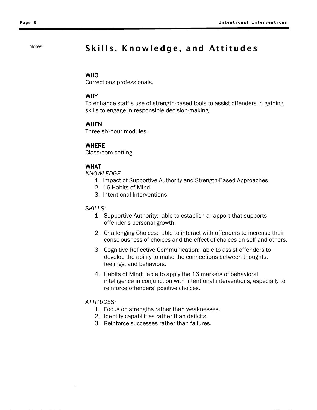# Notes Skills, Knowledge, and Attitudes

### **WHO**

Corrections professionals.

### WHY

To enhance staff's use of strength-based tools to assist offenders in gaining skills to engage in responsible decision-making.

### WHEN

Three six-hour modules.

### WHERE

Classroom setting.

### WHAT

*KNOWLEDGE*

- 1. Impact of Supportive Authority and Strength-Based Approaches
- 2. 16 Habits of Mind
- 3. Intentional Interventions

### *SKILLS:*

- 1. Supportive Authority: able to establish a rapport that supports offender's personal growth.
- 2. Challenging Choices: able to interact with offenders to increase their consciousness of choices and the effect of choices on self and others.
- 3. Cognitive-Reflective Communication: able to assist offenders to develop the ability to make the connections between thoughts, feelings, and behaviors.
- 4. Habits of Mind: able to apply the 16 markers of behavioral intelligence in conjunction with intentional interventions, especially to reinforce offenders' positive choices.

### *ATTITUDES:*

- 1. Focus on strengths rather than weaknesses.
- 2. Identify capabilities rather than deficits.
- 3. Reinforce successes rather than failures.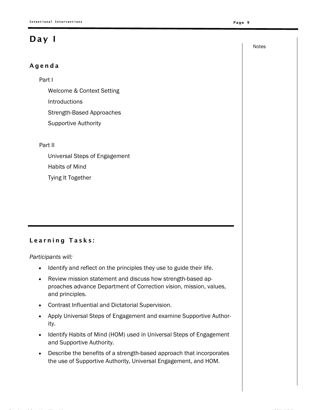# Day I

### Agenda

### Part I

Welcome & Context Setting Introductions Strength-Based Approaches Supportive Authority

### Part II

Universal Steps of Engagement Habits of Mind Tying It Together

### Learning Tasks:

*Participants will:* 

- Identify and reflect on the principles they use to guide their life.
- Review mission statement and discuss how strength-based approaches advance Department of Correction vision, mission, values, and principles.
- Contrast Influential and Dictatorial Supervision.
- Apply Universal Steps of Engagement and examine Supportive Authority.
- Identify Habits of Mind (HOM) used in Universal Steps of Engagement and Supportive Authority.
- Describe the benefits of a strength-based approach that incorporates the use of Supportive Authority, Universal Engagement, and HOM.

Notes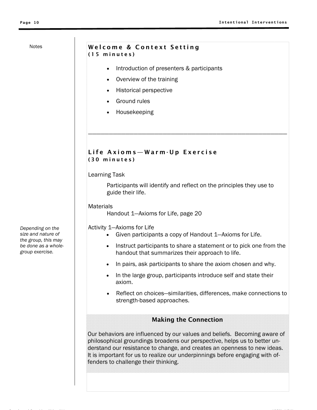### Welcome & Context Setting (15 minutes)

- Introduction of presenters & participants
- Overview of the training
- Historical perspective
- Ground rules
- Housekeeping

### Life Axioms—Warm-Up Exercise (30 minutes)

### Learning Task

guide their life. Participants will identify and reflect on the principles they use to

————————————————————————————————————————————————

**Materials** 

Handout 1—Axioms for Life, page 20

Activity 1—Axioms for Life

- Given participants a copy of Handout 1—Axioms for Life.
- Instruct participants to share a statement or to pick one from the handout that summarizes their approach to life.
- In pairs, ask participants to share the axiom chosen and why.
- In the large group, participants introduce self and state their axiom.
- Reflect on choices—similarities, differences, make connections to strength-based approaches.

### Making the Connection

fenders to challenge their thinking. Our behaviors are influenced by our values and beliefs. Becoming aware of philosophical groundings broadens our perspective, helps us to better understand our resistance to change, and creates an openness to new ideas. It is important for us to realize our underpinnings before engaging with of-

*Depending on the size and nature of the group, this may be done as a wholegroup exercise.*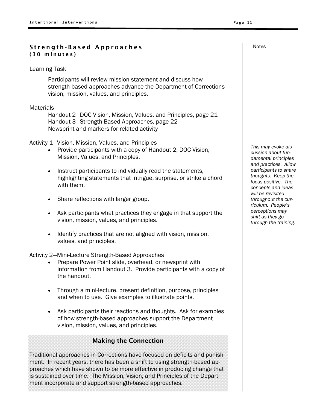### Strength-Based Approaches (30 minutes)

### Learning Task

Participants will review mission statement and discuss how strength-based approaches advance the Department of Corrections vision, mission, values, and principles.

### **Materials**

Handout 2—DOC Vision, Mission, Values, and Principles, page 21 Handout 3—Strength-Based Approaches, page 22 Newsprint and markers for related activity

Activity 1—Vision, Mission, Values, and Principles

- Provide participants with a copy of Handout 2, DOC Vision, Mission, Values, and Principles.
- Instruct participants to individually read the statements, highlighting statements that intrigue, surprise, or strike a chord with them.
- Share reflections with larger group.
- Ask participants what practices they engage in that support the vision, mission, values, and principles.
- Identify practices that are not aligned with vision, mission, values, and principles.

Activity 2—Mini-Lecture Strength-Based Approaches

- Prepare Power Point slide, overhead, or newsprint with information from Handout 3. Provide participants with a copy of the handout.
- Through a mini-lecture, present definition, purpose, principles and when to use. Give examples to illustrate points.
- Ask participants their reactions and thoughts. Ask for examples of how strength-based approaches support the Department vision, mission, values, and principles.

### Making the Connection

Traditional approaches in Corrections have focused on deficits and punishment. In recent years, there has been a shift to using strength-based approaches which have shown to be more effective in producing change that is sustained over time. The Mission, Vision, and Principles of the Department incorporate and support strength-based approaches.

*This may evoke discussion about fundamental principles and practices. Allow participants to share thoughts. Keep the focus positive. The concepts and ideas will be revisited throughout the curriculum. People's perceptions may shift as they go through the training.*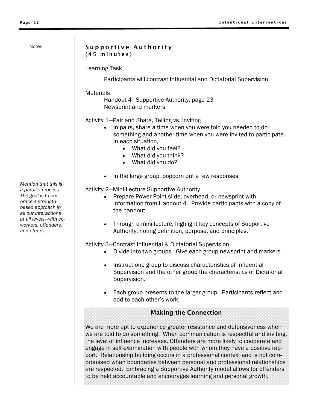### Supportive Authority (45 minutes)

Learning Task

Participants will contrast Influential and Dictatorial Supervision.

### **Materials**

Handout 4—Supportive Authority, page 23 Newsprint and markers

Activity 1—Pair and Share, Telling vs. Inviting

- In pairs, share a time when you were told you needed to do something and another time when you were invited to participate. In each situation,
	- What did you feel?
	- What did you think?
	- What did you do?
- In the large group, popcorn out a few responses.

Activity 2—Mini-Lecture Supportive Authority

- Prepare Power Point slide, overhead, or newsprint with information from Handout 4. Provide participants with a copy of the handout.
- Through a mini-lecture, highlight key concepts of Supportive Authority, noting definition, purpose, and principles.

Activity 3—Contrast Influential & Dictatorial Supervision

- Divide into two groups. Give each group newsprint and markers.
- Instruct one group to discuss characteristics of Influential Supervision and the other group the characteristics of Dictatorial Supervision.
- Each group presents to the larger group. Participants reflect and add to each other's work.

### Making the Connection

We are more apt to experience greater resistance and defensiveness when we are told to do something. When communication is respectful and inviting, the level of influence increases. Offenders are more likely to cooperate and engage in self-examination with people with whom they have a positive rapport. Relationship building occurs in a professional context and is not compromised when boundaries between personal and professional relationships are respected. Embracing a Supportive Authority model allows for offenders to be held accountable and encourages learning and personal growth.

*Mention that this is a parallel process. The goal is to embrace a strengthbased approach in all our interactions at all levels—with coworkers, offenders, and others.*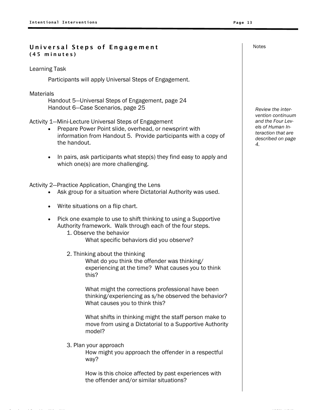### Universal Steps of Engagement (45 minutes)

Learning Task

Participants will apply Universal Steps of Engagement.

**Materials** 

Handout 5—Universal Steps of Engagement, page 24 Handout 6—Case Scenarios, page 25

- Activity 1—Mini-Lecture Universal Steps of Engagement
	- Prepare Power Point slide, overhead, or newsprint with information from Handout 5. Provide participants with a copy of the handout.
	- In pairs, ask participants what step(s) they find easy to apply and which one(s) are more challenging.

Activity 2—Practice Application, Changing the Lens

- Ask group for a situation where Dictatorial Authority was used.
- Write situations on a flip chart.
- Pick one example to use to shift thinking to using a Supportive Authority framework. Walk through each of the four steps.
	- 1. Observe the behavior What specific behaviors did you observe?
	- 2. Thinking about the thinking

What do you think the offender was thinking/ experiencing at the time? What causes you to think this?

What might the corrections professional have been thinking/experiencing as s/he observed the behavior? What causes you to think this?

What shifts in thinking might the staff person make to move from using a Dictatorial to a Supportive Authority model?

3. Plan your approach

How might you approach the offender in a respectful way?

How is this choice affected by past experiences with the offender and/or similar situations?

*Review the intervention continuum and the Four Levels of Human Interaction that are described on page 4.*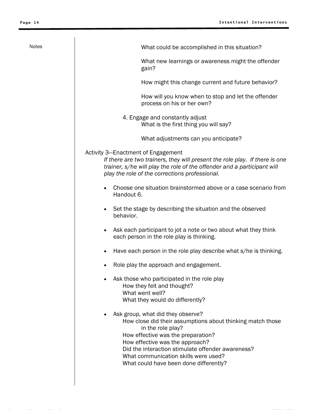| Notes<br>What could be accomplished in this situation?<br>What new learnings or awareness might the offender<br>gain?<br>How might this change current and future behavior?<br>How will you know when to stop and let the offender<br>process on his or her own?<br>4. Engage and constantly adjust<br>What is the first thing you will say? |  |
|----------------------------------------------------------------------------------------------------------------------------------------------------------------------------------------------------------------------------------------------------------------------------------------------------------------------------------------------|--|
|                                                                                                                                                                                                                                                                                                                                              |  |
|                                                                                                                                                                                                                                                                                                                                              |  |
|                                                                                                                                                                                                                                                                                                                                              |  |
|                                                                                                                                                                                                                                                                                                                                              |  |
|                                                                                                                                                                                                                                                                                                                                              |  |
| What adjustments can you anticipate?                                                                                                                                                                                                                                                                                                         |  |
| Activity 3-Enactment of Engagement<br>If there are two trainers, they will present the role play. If there is one<br>trainer, s/he will play the role of the offender and a participant will<br>play the role of the corrections professional.                                                                                               |  |
| Choose one situation brainstormed above or a case scenario from<br>Handout 6.                                                                                                                                                                                                                                                                |  |
| Set the stage by describing the situation and the observed<br>behavior.                                                                                                                                                                                                                                                                      |  |
| Ask each participant to jot a note or two about what they think<br>$\bullet$<br>each person in the role play is thinking.                                                                                                                                                                                                                    |  |
| Have each person in the role play describe what s/he is thinking.                                                                                                                                                                                                                                                                            |  |
| Role play the approach and engagement.                                                                                                                                                                                                                                                                                                       |  |
| Ask those who participated in the role play<br>How they felt and thought?<br>What went well?<br>What they would do differently?                                                                                                                                                                                                              |  |
| Ask group, what did they observe?<br>How close did their assumptions about thinking match those<br>in the role play?<br>How effective was the preparation?<br>How effective was the approach?<br>Did the interaction stimulate offender awareness?<br>What communication skills were used?<br>What could have been done differently?         |  |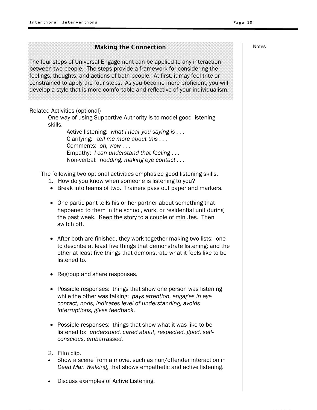### **Making the Connection Making the Connection**

The four steps of Universal Engagement can be applied to any interaction between two people. The steps provide a framework for considering the feelings, thoughts, and actions of both people. At first, it may feel trite or constrained to apply the four steps. As you become more proficient, you will develop a style that is more comfortable and reflective of your individualism.

### Related Activities (optional)

One way of using Supportive Authority is to model good listening skills.

> Active listening: *what I hear you saying is . . .* Clarifying: *tell me more about this . . .* Comments: *oh, wow . . .* Empathy: *I can understand that feeling . . .* Non-verbal: *nodding, making eye contact . . .*

The following two optional activities emphasize good listening skills.

- 1. How do you know when someone is listening to you?
- Break into teams of two. Trainers pass out paper and markers.
- One participant tells his or her partner about something that happened to them in the school, work, or residential unit during the past week. Keep the story to a couple of minutes. Then switch off.
- After both are finished, they work together making two lists: one to describe at least five things that demonstrate listening; and the other at least five things that demonstrate what it feels like to be listened to.
- Regroup and share responses.
- Possible responses: things that show one person was listening while the other was talking: *pays attention, engages in eye contact, nods, indicates level of understanding, avoids interruptions, gives feedback*.
- Possible responses: things that show what it was like to be listened to: *understood, cared about, respected, good, selfconscious, embarrassed.*
- 2. Film clip.
- Show a scene from a movie, such as nun/offender interaction in *Dead Man Walking*, that shows empathetic and active listening.
- Discuss examples of Active Listening.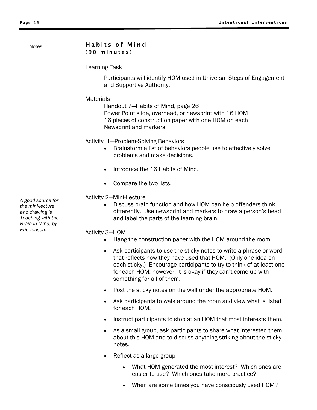### Habits of Mind (90 minutes)

Learning Task

Participants will identify HOM used in Universal Steps of Engagement and Supportive Authority.

### **Materials**

Handout 7—Habits of Mind, page 26 Power Point slide, overhead, or newsprint with 16 HOM 16 pieces of construction paper with one HOM on each Newsprint and markers

Activity 1—Problem-Solving Behaviors

- Brainstorm a list of behaviors people use to effectively solve problems and make decisions.
- Introduce the 16 Habits of Mind.
- Compare the two lists.

### Activity 2—Mini-Lecture

• Discuss brain function and how HOM can help offenders think differently. Use newsprint and markers to draw a person's head and label the parts of the learning brain.

### Activity 3—HOM

- Hang the construction paper with the HOM around the room.
- Ask participants to use the sticky notes to write a phrase or word that reflects how they have used that HOM. (Only one idea on each sticky.) Encourage participants to try to think of at least one for each HOM; however, it is okay if they can't come up with something for all of them.
- Post the sticky notes on the wall under the appropriate HOM.
- Ask participants to walk around the room and view what is listed for each HOM.
- Instruct participants to stop at an HOM that most interests them.
- As a small group, ask participants to share what interested them about this HOM and to discuss anything striking about the sticky notes.
- Reflect as a large group
	- What HOM generated the most interest? Which ones are easier to use? Which ones take more practice?
	- When are some times you have consciously used HOM?

*A good source for the mini-lecture and drawing is Teaching with the Brain in Mind, by Eric Jensen.*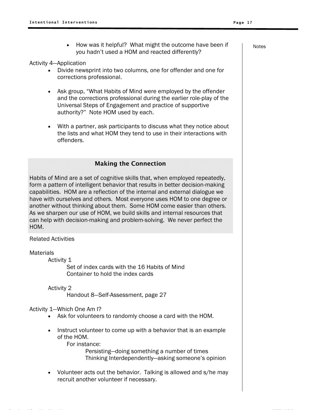How was it helpful? What might the outcome have been if  $\blacksquare$ you hadn't used a HOM and reacted differently?

Activity 4—Application

- Divide newsprint into two columns, one for offender and one for corrections professional.
- Ask group, "What Habits of Mind were employed by the offender and the corrections professional during the earlier role-play of the Universal Steps of Engagement and practice of supportive authority?" Note HOM used by each.
- With a partner, ask participants to discuss what they notice about the lists and what HOM they tend to use in their interactions with offenders.

### Making the Connection

Habits of Mind are a set of cognitive skills that, when employed repeatedly, form a pattern of intelligent behavior that results in better decision-making capabilities. HOM are a reflection of the internal and external dialogue we have with ourselves and others. Most everyone uses HOM to one degree or another without thinking about them. Some HOM come easier than others. As we sharpen our use of HOM, we build skills and internal resources that can help with decision-making and problem-solving. We never perfect the HOM.

### Related Activities

**Materials** 

Activity 1

Set of index cards with the 16 Habits of Mind Container to hold the index cards

 Activity 2 Handout 8—Self-Assessment, page 27

### Activity 1—Which One Am I?

- Ask for volunteers to randomly choose a card with the HOM.
- Instruct volunteer to come up with a behavior that is an example of the HOM.

For instance:

Persisting—doing something a number of times Thinking Interdependently—asking someone's opinion

• Volunteer acts out the behavior. Talking is allowed and s/he may recruit another volunteer if necessary.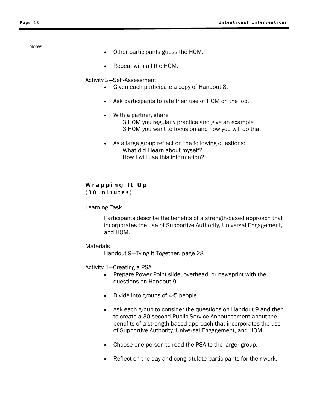- Other participants guess the HOM.
- Repeat with all the HOM.

### Activity 2—Self-Assessment

- Given each participate a copy of Handout 8.
- Ask participants to rate their use of HOM on the job.
- With a partner, share 3 HOM you regularly practice and give an example 3 HOM you want to focus on and how you will do that

\_\_\_\_\_\_\_\_\_\_\_\_\_\_\_\_\_\_\_\_\_\_\_\_\_\_\_\_\_\_\_\_\_\_\_\_\_\_\_\_\_\_\_\_\_\_\_\_\_\_\_\_\_\_\_\_\_\_\_\_\_\_\_\_\_

As a large group reflect on the following questions: What did I learn about myself? How I will use this information?

### Wrapping It Up (30 minutes)

Learning Task

Participants describe the benefits of a strength-based approach that incorporates the use of Supportive Authority, Universal Engagement, and HOM.

### Materials

Handout 9—Tying It Together, page 28

Activity 1—Creating a PSA

- Prepare Power Point slide, overhead, or newsprint with the questions on Handout 9.
- Divide into groups of 4-5 people.

6 K G 6 L L \$ GI 6 K 6 L L GI

- Ask each group to consider the questions on Handout 9 and then to create a 30-second Public Service Announcement about the benefits of a strength-based approach that incorporates the use of Supportive Authority, Universal Engagement, and HOM.
- Choose one person to read the PSA to the larger group.
- Reflect on the day and congratulate participants for their work.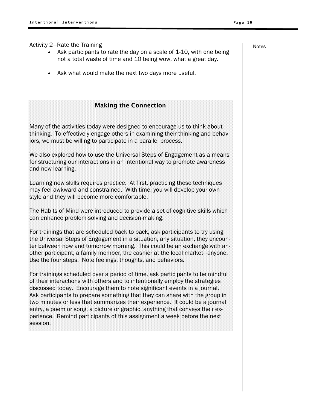Activity 2—Rate the Training

- Ask participants to rate the day on a scale of 1-10, with one being not a total waste of time and 10 being wow, what a great day.
- Ask what would make the next two days more useful.

### Making the Connection

Many of the activities today were designed to encourage us to think about thinking. To effectively engage others in examining their thinking and behaviors, we must be willing to participate in a parallel process.

We also explored how to use the Universal Steps of Engagement as a means for structuring our interactions in an intentional way to promote awareness and new learning.

Learning new skills requires practice. At first, practicing these techniques may feel awkward and constrained. With time, you will develop your own style and they will become more comfortable.

The Habits of Mind were introduced to provide a set of cognitive skills which can enhance problem-solving and decision-making.

For trainings that are scheduled back-to-back, ask participants to try using the Universal Steps of Engagement in a situation, any situation, they encounter between now and tomorrow morning. This could be an exchange with another participant, a family member, the cashier at the local market—anyone. Use the four steps. Note feelings, thoughts, and behaviors.

For trainings scheduled over a period of time, ask participants to be mindful of their interactions with others and to intentionally employ the strategies discussed today. Encourage them to note significant events in a journal. Ask participants to prepare something that they can share with the group in two minutes or less that summarizes their experience. It could be a journal entry, a poem or song, a picture or graphic, anything that conveys their experience. Remind participants of this assignment a week before the next session.

Notes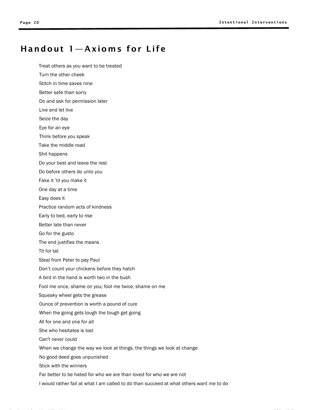# Handout 1—Axioms for Life

- Treat others as you want to be treated
- Turn the other cheek
- Stitch in time saves nine
- Better safe than sorry
- Do and ask for permission later
- Live and let live
- Seize the day
- Eye for an eye
- Think before you speak
- Take the middle road
- Shit happens
- Do your best and leave the rest
- Do before others do unto you
- Fake it 'til you make it
- One day at a time
- Easy does it
- Practice random acts of kindness
- Early to bed, early to rise
- Better late than never
- Go for the gusto
- The end justifies the means
- Tit for tat
- Steal from Peter to pay Paul
- Don't count your chickens before they hatch
- A bird in the hand is worth two in the bush
- Fool me once, shame on you; fool me twice, shame on me
- Squeaky wheel gets the grease
- Ounce of prevention is worth a pound of cure
- When the going gets tough the tough get going
- All for one and one for all
- She who hesitates is lost
- Can't never could
- When we change the way we look at things, the things we look at change
- No good deed goes unpunished
- Stick with the winners
- Far better to be hated for who we are than loved for who we are not
- I would rather fail at what I am called to do than succeed at what others want me to do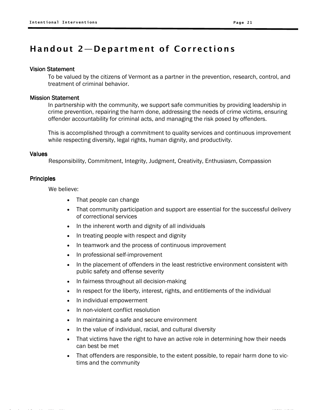# Handout 2—Department of Corrections

### Vision Statement

To be valued by the citizens of Vermont as a partner in the prevention, research, control, and treatment of criminal behavior.

### Mission Statement

In partnership with the community, we support safe communities by providing leadership in crime prevention, repairing the harm done, addressing the needs of crime victims, ensuring offender accountability for criminal acts, and managing the risk posed by offenders.

This is accomplished through a commitment to quality services and continuous improvement while respecting diversity, legal rights, human dignity, and productivity.

### Values

Responsibility, Commitment, Integrity, Judgment, Creativity, Enthusiasm, Compassion

### **Principles**

We believe:

- That people can change
- That community participation and support are essential for the successful delivery of correctional services
- In the inherent worth and dignity of all individuals
- In treating people with respect and dignity
- In teamwork and the process of continuous improvement
- In professional self-improvement
- In the placement of offenders in the least restrictive environment consistent with public safety and offense severity
- In fairness throughout all decision-making
- In respect for the liberty, interest, rights, and entitlements of the individual
- In individual empowerment
- In non-violent conflict resolution
- In maintaining a safe and secure environment
- In the value of individual, racial, and cultural diversity

6 K G 6 L L \$ GI 6 K 6 L L GI

- That victims have the right to have an active role in determining how their needs can best be met
- That offenders are responsible, to the extent possible, to repair harm done to victims and the community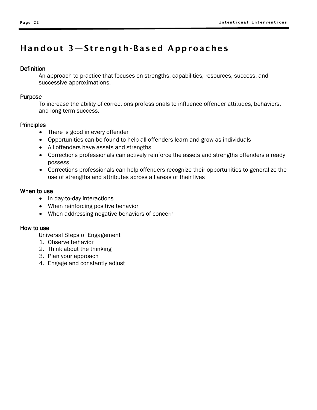# Handout 3—Strength-Based Approaches

### **Definition**

An approach to practice that focuses on strengths, capabilities, resources, success, and successive approximations.

### Purpose

To increase the ability of corrections professionals to influence offender attitudes, behaviors, and long-term success.

### **Principles**

- There is good in every offender
- Opportunities can be found to help all offenders learn and grow as individuals
- All offenders have assets and strengths
- Corrections professionals can actively reinforce the assets and strengths offenders already possess
- Corrections professionals can help offenders recognize their opportunities to generalize the use of strengths and attributes across all areas of their lives

### When to use

- In day-to-day interactions
- When reinforcing positive behavior
- When addressing negative behaviors of concern

### How to use

- 1. Observe behavior
- 2. Think about the thinking
- 3. Plan your approach
- 4. Engage and constantly adjust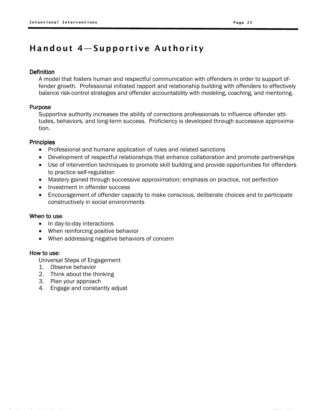# Handout 4—Supportive Authority

### **Definition**

A model that fosters human and respectful communication with offenders in order to support offender growth. Professional initiated rapport and relationship building with offenders to effectively balance risk-control strategies and offender accountability with modeling, coaching, and mentoring.

### Purpose

Supportive authority increases the ability of corrections professionals to influence offender attitudes, behaviors, and long-term success. Proficiency is developed through successive approximation.

### **Principles**

- Professional and humane application of rules and related sanctions
- Development of respectful relationships that enhance collaboration and promote partnerships
- Use of intervention techniques to promote skill building and provide opportunities for offenders to practice self-regulation
- Mastery gained through successive approximation; emphasis on practice, not perfection
- Investment in offender success
- Encouragement of offender capacity to make conscious, deliberate choices and to participate constructively in social environments

### When to use

- In day-to-day interactions
- When reinforcing positive behavior
- When addressing negative behaviors of concern

### How to use:

- 1. Observe behavior
- 2. Think about the thinking
- 3. Plan your approach
- 4. Engage and constantly adjust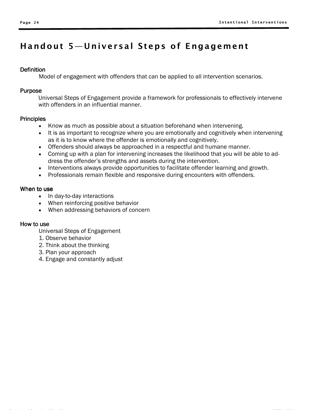# Handout 5—Universal Steps of Engagement

### **Definition**

Model of engagement with offenders that can be applied to all intervention scenarios.

### Purpose

Universal Steps of Engagement provide a framework for professionals to effectively intervene with offenders in an influential manner.

### **Principles**

- Know as much as possible about a situation beforehand when intervening.
- It is as important to recognize where you are emotionally and cognitively when intervening as it is to know where the offender is emotionally and cognitively.
- Offenders should always be approached in a respectful and humane manner.
- Coming up with a plan for intervening increases the likelihood that you will be able to address the offender's strengths and assets during the intervention.
- Interventions always provide opportunities to facilitate offender learning and growth.
- Professionals remain flexible and responsive during encounters with offenders.

### When to use

- In day-to-day interactions
- When reinforcing positive behavior
- When addressing behaviors of concern

### How to use

- 1. Observe behavior
- 2. Think about the thinking
- 3. Plan your approach
- 4. Engage and constantly adjust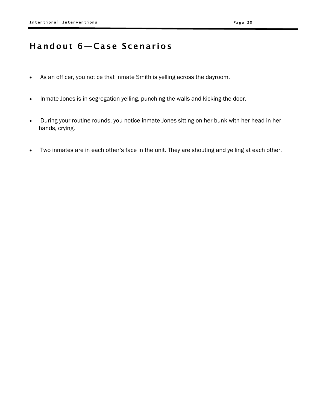# Handout 6—Case Scenarios

- As an officer, you notice that inmate Smith is yelling across the dayroom.
- Inmate Jones is in segregation yelling, punching the walls and kicking the door.
- During your routine rounds, you notice inmate Jones sitting on her bunk with her head in her hands, crying.
- Two inmates are in each other's face in the unit. They are shouting and yelling at each other.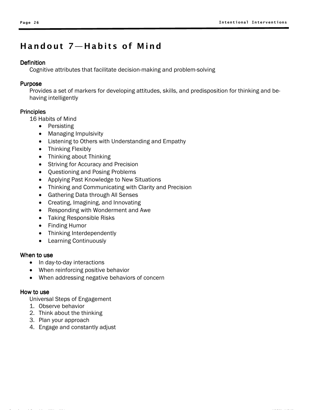# Handout 7—Habits of Mind

### **Definition**

Cognitive attributes that facilitate decision-making and problem-solving

### Purpose

Provides a set of markers for developing attitudes, skills, and predisposition for thinking and behaving intelligently

### **Principles**

16 Habits of Mind

- Persisting
- Managing Impulsivity
- Listening to Others with Understanding and Empathy
- Thinking Flexibly
- Thinking about Thinking
- Striving for Accuracy and Precision
- Questioning and Posing Problems
- Applying Past Knowledge to New Situations
- Thinking and Communicating with Clarity and Precision
- Gathering Data through All Senses
- Creating, Imagining, and Innovating
- Responding with Wonderment and Awe
- Taking Responsible Risks
- Finding Humor
- Thinking Interdependently
- Learning Continuously

### When to use

- In day-to-day interactions
- When reinforcing positive behavior
- When addressing negative behaviors of concern

### How to use

- 1. Observe behavior
- 2. Think about the thinking
- 3. Plan your approach
- 4. Engage and constantly adjust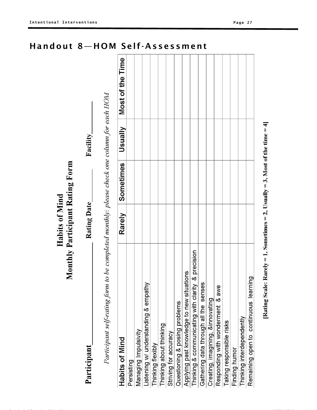|                                                                                            | Habits of Mind | Monthly Participant Rating Form |                |                  |
|--------------------------------------------------------------------------------------------|----------------|---------------------------------|----------------|------------------|
| Participant                                                                                | Rating Date    |                                 | Facility       |                  |
| Participant self-rating form to be completed monthly: please check one column for each HOM |                |                                 |                |                  |
| Habits of Mind                                                                             | Rarely         | Sometimes                       | <b>Usually</b> | Most of the Time |
| Persisting                                                                                 |                |                                 |                |                  |
| Managing Impulsivity                                                                       |                |                                 |                |                  |
| Listening w/ understanding & empathy                                                       |                |                                 |                |                  |
| Thinking flexibly                                                                          |                |                                 |                |                  |
| Thinking about thinking                                                                    |                |                                 |                |                  |
| Striving for accuracy                                                                      |                |                                 |                |                  |
| Questioning & posing problems                                                              |                |                                 |                |                  |
| ations<br>Applying past knowledge to new situ                                              |                |                                 |                |                  |
| Thinking & communicating with clarity & precision                                          |                |                                 |                |                  |
| Gathering data through all the senses                                                      |                |                                 |                |                  |
| Creating, imagining, &innovating                                                           |                |                                 |                |                  |
| awe<br>$\dot{\infty}$<br>Responding with wonderment                                        |                |                                 |                |                  |
| Taking responsible risks                                                                   |                |                                 |                |                  |
| Finding humor                                                                              |                |                                 |                |                  |
| Thinking interdependently                                                                  |                |                                 |                |                  |
| Remaining open to continuous learning                                                      |                |                                 |                |                  |

6 K G 6 L L \$ GI 6 K 6 L L GI

# [Rating Scale: Rarely = 1, Sometimes = 2, Usually = 3, Most of the time = 4]

# Handout 8—HOM Self-Assessment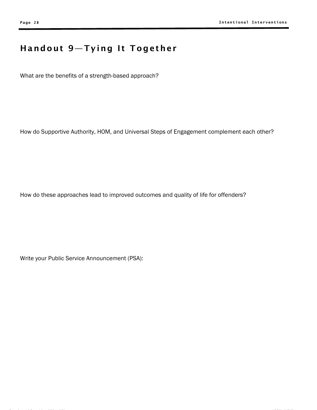# Handout 9—Tying It Together

What are the benefits of a strength-based approach?

How do Supportive Authority, HOM, and Universal Steps of Engagement complement each other?

How do these approaches lead to improved outcomes and quality of life for offenders?

Write your Public Service Announcement (PSA):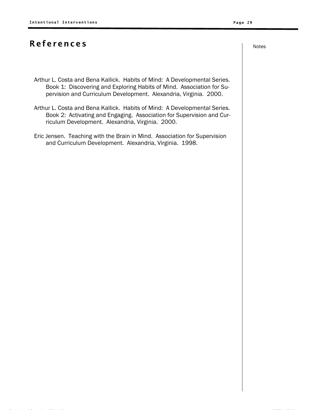# References and the set of the set of the set of the set of the set of the set of the set of the set of the set o

- Arthur L. Costa and Bena Kallick. Habits of Mind: A Developmental Series. Book 1: Discovering and Exploring Habits of Mind. Association for Supervision and Curriculum Development. Alexandria, Virginia. 2000.
- Arthur L. Costa and Bena Kallick. Habits of Mind: A Developmental Series. Book 2: Activating and Engaging. Association for Supervision and Curriculum Development. Alexandria, Virginia. 2000.
- Eric Jensen. Teaching with the Brain in Mind. Association for Supervision and Curriculum Development. Alexandria, Virginia. 1998.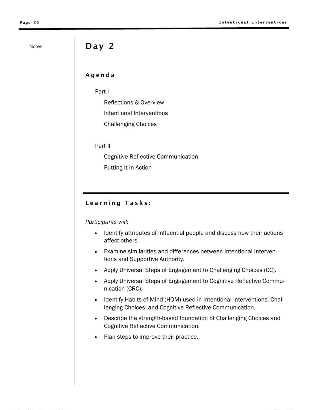# Notes Day 2

### Agenda

Part I

Reflections & Overview Intentional Interventions Challenging Choices

Part II

Cognitive Reflective Communication

Putting It In Action

### Learning Tasks:

*Participants will:* 

- Identify attributes of influential people and discuss how their actions affect others.
- Examine similarities and differences between Intentional Interventions and Supportive Authority.
- Apply Universal Steps of Engagement to Challenging Choices (CC).
- Apply Universal Steps of Engagement to Cognitive Reflective Communication (CRC).
- Identify Habits of Mind (HOM) used in Intentional Interventions, Challenging Choices, and Cognitive Reflective Communication.
- Describe the strength-based foundation of Challenging Choices and Cognitive Reflective Communication.
- Plan steps to improve their practice.

6 K G 6 L L \$ GI 6 K 6 L L GI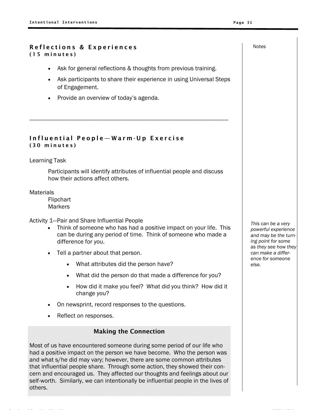### Reflections & Experiences (15 minutes)

• Ask for general reflections & thoughts from previous training.

————————————————————————————————————————————————

- Ask participants to share their experience in using Universal Steps of Engagement.
- Provide an overview of today's agenda.

### Influential People—Warm-Up Exercise (30 minutes)

Learning Task

Participants will identify attributes of influential people and discuss how their actions affect others.

**Materials** 

Flipchart **Markers** 

Activity 1—Pair and Share Influential People

- Think of someone who has had a positive impact on your life. This can be during any period of time. Think of someone who made a difference for you.
- Tell a partner about that person.
	- What attributes did the person have?
	- What did the person do that made a difference for you?
	- How did it make you feel? What did you think? How did it change you?
- On newsprint, record responses to the questions.
- Reflect on responses.

### Making the Connection

Most of us have encountered someone during some period of our life who had a positive impact on the person we have become. Who the person was and what s/he did may vary; however, there are some common attributes that influential people share. Through some action, they showed their concern and encouraged us. They affected our thoughts and feelings about our self-worth. Similarly, we can intentionally be influential people in the lives of others.

*This can be a very powerful experience and may be the turning point for some as they see how they can make a difference for someone else.*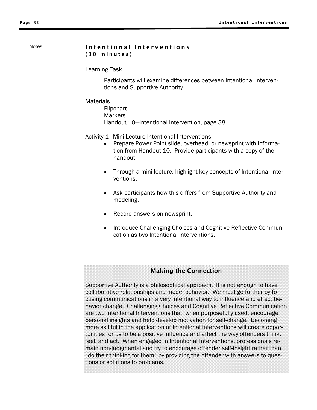### Notes | Intentional Interventions (30 minutes)

Learning Task

Participants will examine differences between Intentional Interventions and Supportive Authority.

**Materials** 

Flipchart Markers Handout 10—Intentional Intervention, page 38

Activity 1—Mini-Lecture Intentional Interventions

- Prepare Power Point slide, overhead, or newsprint with information from Handout 10. Provide participants with a copy of the handout.
- Through a mini-lecture, highlight key concepts of Intentional Interventions.
- Ask participants how this differs from Supportive Authority and modeling.
- Record answers on newsprint.
- Introduce Challenging Choices and Cognitive Reflective Communication as two Intentional Interventions.

### Making the Connection

Supportive Authority is a philosophical approach. It is not enough to have collaborative relationships and model behavior. We must go further by focusing communications in a very intentional way to influence and effect behavior change. Challenging Choices and Cognitive Reflective Communication are two Intentional Interventions that, when purposefully used, encourage personal insights and help develop motivation for self-change. Becoming more skillful in the application of Intentional Interventions will create opportunities for us to be a positive influence and affect the way offenders think, feel, and act. When engaged in Intentional Interventions, professionals remain non-judgmental and try to encourage offender self-insight rather than "do their thinking for them" by providing the offender with answers to questions or solutions to problems.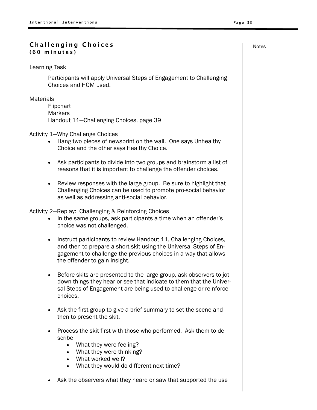### Challenging Choices and the set of the set of the set of the set of the set of the set of the set of the set o (60 minutes)

Learning Task

Participants will apply Universal Steps of Engagement to Challenging Choices and HOM used.

**Materials** 

Flipchart **Markers** Handout 11—Challenging Choices, page 39

Activity 1—Why Challenge Choices

- Hang two pieces of newsprint on the wall. One says Unhealthy Choice and the other says Healthy Choice.
- Ask participants to divide into two groups and brainstorm a list of reasons that it is important to challenge the offender choices.
- Review responses with the large group. Be sure to highlight that Challenging Choices can be used to promote pro-social behavior as well as addressing anti-social behavior.

Activity 2—Replay: Challenging & Reinforcing Choices

- In the same groups, ask participants a time when an offender's choice was not challenged.
- Instruct participants to review Handout 11, Challenging Choices, and then to prepare a short skit using the Universal Steps of Engagement to challenge the previous choices in a way that allows the offender to gain insight.
- Before skits are presented to the large group, ask observers to jot down things they hear or see that indicate to them that the Universal Steps of Engagement are being used to challenge or reinforce choices.
- Ask the first group to give a brief summary to set the scene and then to present the skit.
- Process the skit first with those who performed. Ask them to describe
	- What they were feeling?
	- What they were thinking?
	- What worked well?
	- What they would do different next time?
- Ask the observers what they heard or saw that supported the use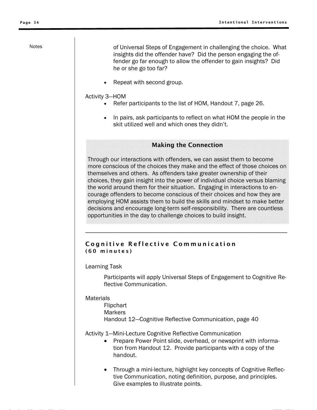Notes **Notes of Universal Steps of Engagement in challenging the choice. What** insights did the offender have? Did the person engaging the offender go far enough to allow the offender to gain insights? Did he or she go too far?

• Repeat with second group.

### Activity 3—HOM

- Refer participants to the list of HOM, Handout 7, page 26.
- In pairs, ask participants to reflect on what HOM the people in the skit utilized well and which ones they didn't.

### Making the Connection

Through our interactions with offenders, we can assist them to become more conscious of the choices they make and the effect of those choices on themselves and others. As offenders take greater ownership of their choices, they gain insight into the power of individual choice versus blaming the world around them for their situation. Engaging in interactions to encourage offenders to become conscious of their choices and how they are employing HOM assists them to build the skills and mindset to make better decisions and encourage long-term self-responsibility. There are countless opportunities in the day to challenge choices to build insight.

\_\_\_\_\_\_\_\_\_\_\_\_\_\_\_\_\_\_\_\_\_\_\_\_\_\_\_\_\_\_\_\_\_\_\_\_\_\_\_\_\_\_\_\_\_\_\_\_\_\_\_\_\_\_\_\_\_\_\_\_\_\_\_\_\_

### Cognitive Reflective Communication (60 minutes)

### Learning Task

Participants will apply Universal Steps of Engagement to Cognitive Reflective Communication.

### **Materials**

Flipchart **Markers** Handout 12—Cognitive Reflective Communication, page 40

Activity 1—Mini-Lecture Cognitive Reflective Communication

- Prepare Power Point slide, overhead, or newsprint with information from Handout 12. Provide participants with a copy of the handout.
- Through a mini-lecture, highlight key concepts of Cognitive Reflective Communication, noting definition, purpose, and principles. Give examples to illustrate points.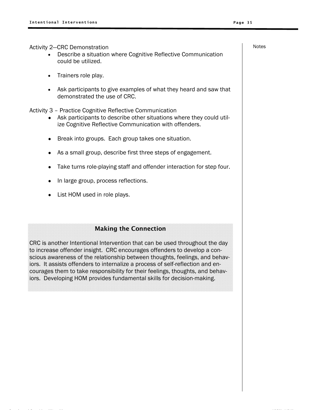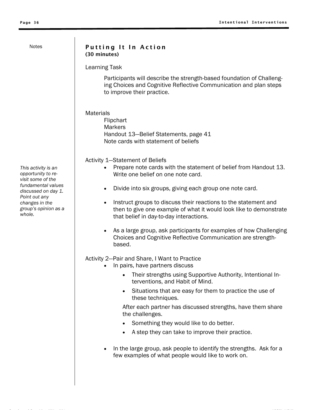### Putting It In Action (30 minutes)

Learning Task

Participants will describe the strength-based foundation of Challenging Choices and Cognitive Reflective Communication and plan steps to improve their practice.

**Materials** 

**Flipchart Markers** Handout 13—Belief Statements, page 41 Note cards with statement of beliefs

Activity 1—Statement of Beliefs

- Prepare note cards with the statement of belief from Handout 13. Write one belief on one note card.
- Divide into six groups, giving each group one note card.
- Instruct groups to discuss their reactions to the statement and then to give one example of what it would look like to demonstrate that belief in day-to-day interactions.
- As a large group, ask participants for examples of how Challenging Choices and Cognitive Reflective Communication are strengthbased.

### Activity 2—Pair and Share, I Want to Practice

- In pairs, have partners discuss
	- Their strengths using Supportive Authority, Intentional Interventions, and Habit of Mind.
	- Situations that are easy for them to practice the use of these techniques.

After each partner has discussed strengths, have them share the challenges.

- Something they would like to do better.
- A step they can take to improve their practice.
- In the large group, ask people to identify the strengths. Ask for a few examples of what people would like to work on.

*This activity is an opportunity to revisit some of the fundamental values discussed on day 1. Point out any changes in the group's opinion as a whole.*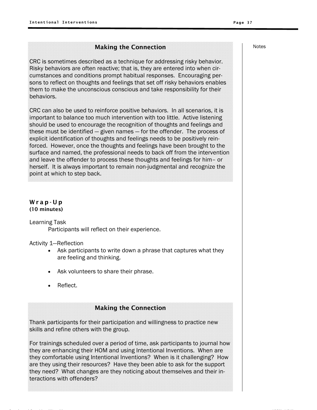### Making the Connection

CRC is sometimes described as a technique for addressing risky behavior. Risky behaviors are often reactive; that is, they are entered into when circumstances and conditions prompt habitual responses. Encouraging persons to reflect on thoughts and feelings that set off risky behaviors enables them to make the unconscious conscious and take responsibility for their behaviors.

CRC can also be used to reinforce positive behaviors. In all scenarios, it is important to balance too much intervention with too little. Active listening should be used to encourage the recognition of thoughts and feelings and these must be identified — given names — for the offender. The process of explicit identification of thoughts and feelings needs to be positively reinforced. However, once the thoughts and feelings have been brought to the surface and named, the professional needs to back off from the intervention and leave the offender to process these thoughts and feelings for him– or herself. It is always important to remain non-judgmental and recognize the point at which to step back.

### Wr ap-U p (10 minutes)

Learning Task

Participants will reflect on their experience.

Activity 1—Reflection

- Ask participants to write down a phrase that captures what they are feeling and thinking.
- Ask volunteers to share their phrase.
- Reflect.

### Making the Connection

Thank participants for their participation and willingness to practice new skills and refine others with the group.

For trainings scheduled over a period of time, ask participants to journal how they are enhancing their HOM and using Intentional Inventions. When are they comfortable using Intentional Inventions? When is it challenging? How are they using their resources? Have they been able to ask for the support they need? What changes are they noticing about themselves and their interactions with offenders?

6 K G 6 L L \$ GI 6 K 6 L L GI

Notes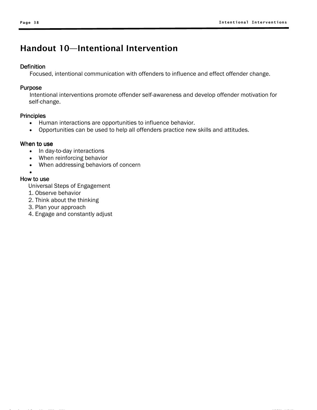# Handout 10—Intentional Intervention

### **Definition**

Focused, intentional communication with offenders to influence and effect offender change.

### Purpose

Intentional interventions promote offender self-awareness and develop offender motivation for self-change.

### **Principles**

- Human interactions are opportunities to influence behavior.
- Opportunities can be used to help all offenders practice new skills and attitudes.

### When to use

- In day-to-day interactions
- When reinforcing behavior
- When addressing behaviors of concern

### •

### How to use

- Universal Steps of Engagement
- 1. Observe behavior
- 2. Think about the thinking
- 3. Plan your approach
- 4. Engage and constantly adjust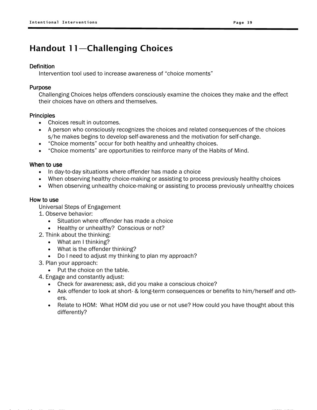# Handout 11—Challenging Choices

### **Definition**

Intervention tool used to increase awareness of "choice moments"

### Purpose

Challenging Choices helps offenders consciously examine the choices they make and the effect their choices have on others and themselves.

### **Principles**

- Choices result in outcomes.
- A person who consciously recognizes the choices and related consequences of the choices s/he makes begins to develop self-awareness and the motivation for self-change.
- "Choice moments" occur for both healthy and unhealthy choices.
- "Choice moments" are opportunities to reinforce many of the Habits of Mind.

### When to use

- In day-to-day situations where offender has made a choice
- When observing healthy choice-making or assisting to process previously healthy choices
- When observing unhealthy choice-making or assisting to process previously unhealthy choices

### How to use

- 1. Observe behavior:
	- Situation where offender has made a choice
	- Healthy or unhealthy? Conscious or not?
- 2. Think about the thinking:
	- What am I thinking?
	- What is the offender thinking?
	- Do I need to adjust my thinking to plan my approach?
- 3. Plan your approach:
	- Put the choice on the table.
- 4. Engage and constantly adjust:
	- Check for awareness; ask, did you make a conscious choice?
	- Ask offender to look at short- & long-term consequences or benefits to him/herself and others.
	- Relate to HOM: What HOM did you use or not use? How could you have thought about this differently?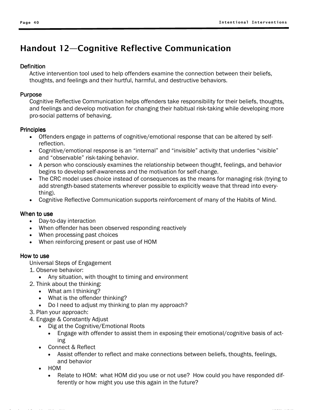# Handout 12—Cognitive Reflective Communication

### **Definition**

Active intervention tool used to help offenders examine the connection between their beliefs, thoughts, and feelings and their hurtful, harmful, and destructive behaviors.

### Purpose

Cognitive Reflective Communication helps offenders take responsibility for their beliefs, thoughts, and feelings and develop motivation for changing their habitual risk-taking while developing more pro-social patterns of behaving.

### **Principles**

- Offenders engage in patterns of cognitive/emotional response that can be altered by selfreflection.
- Cognitive/emotional response is an "internal" and "invisible" activity that underlies "visible" and "observable" risk-taking behavior.
- A person who consciously examines the relationship between thought, feelings, and behavior begins to develop self-awareness and the motivation for self-change.
- The CRC model uses choice instead of consequences as the means for managing risk (trying to add strength-based statements wherever possible to explicitly weave that thread into everything).
- Cognitive Reflective Communication supports reinforcement of many of the Habits of Mind.

### When to use

- Day-to-day interaction
- When offender has been observed responding reactively
- When processing past choices
- When reinforcing present or past use of HOM

### How to use

- 1. Observe behavior:
	- Any situation, with thought to timing and environment
- 2. Think about the thinking:
	- What am I thinking?
	- What is the offender thinking?
	- Do I need to adjust my thinking to plan my approach?
- 3. Plan your approach:
- 4. Engage & Constantly Adjust
	- Dig at the Cognitive/Emotional Roots
		- Engage with offender to assist them in exposing their emotional/cognitive basis of acting
	- Connect & Reflect
		- Assist offender to reflect and make connections between beliefs, thoughts, feelings, and behavior
	- HOM
		- Relate to HOM: what HOM did you use or not use? How could you have responded differently or how might you use this again in the future?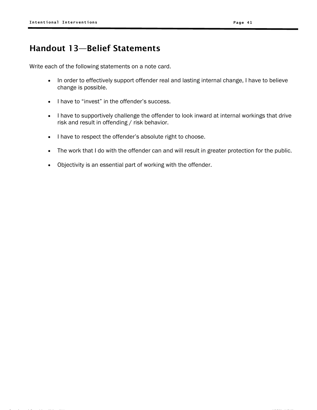# Handout 13—Belief Statements

Write each of the following statements on a note card.

- In order to effectively support offender real and lasting internal change, I have to believe change is possible.
- I have to "invest" in the offender's success.
- I have to supportively challenge the offender to look inward at internal workings that drive risk and result in offending / risk behavior.
- I have to respect the offender's absolute right to choose.
- The work that I do with the offender can and will result in greater protection for the public.
- Objectivity is an essential part of working with the offender.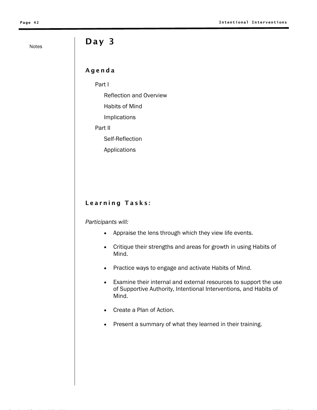# Notes **Day 3**

### Agenda

Part I

Reflection and Overview

Habits of Mind

Implications

Part II

Self-Reflection

Applications

### Learning Tasks:

### *Participants will:*

- Appraise the lens through which they view life events.
- Critique their strengths and areas for growth in using Habits of Mind.
- Practice ways to engage and activate Habits of Mind.
- Examine their internal and external resources to support the use of Supportive Authority, Intentional Interventions, and Habits of Mind.
- Create a Plan of Action.
- Present a summary of what they learned in their training.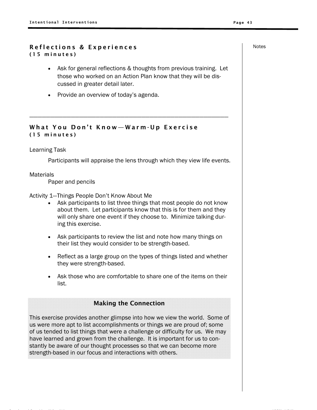### Reflections & Experiences and the set of the Notes (15 minutes)

• Ask for general reflections & thoughts from previous training. Let those who worked on an Action Plan know that they will be discussed in greater detail later.

————————————————————————————————————————————————

• Provide an overview of today's agenda.

### What You Don't Know—Warm-Up Exercise (15 minutes)

### Learning Task

Participants will appraise the lens through which they view life events.

### **Materials**

Paper and pencils

Activity 1—Things People Don't Know About Me

- Ask participants to list three things that most people do not know about them. Let participants know that this is for them and they will only share one event if they choose to. Minimize talking during this exercise.
- Ask participants to review the list and note how many things on their list they would consider to be strength-based.
- Reflect as a large group on the types of things listed and whether they were strength-based.
- Ask those who are comfortable to share one of the items on their list.

### Making the Connection

This exercise provides another glimpse into how we view the world. Some of us were more apt to list accomplishments or things we are proud of; some of us tended to list things that were a challenge or difficulty for us. We may have learned and grown from the challenge. It is important for us to constantly be aware of our thought processes so that we can become more strength-based in our focus and interactions with others.

6 K G 6 L L \$ GI 6 K 6 L L GI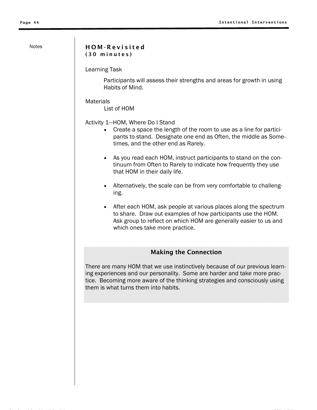### Notes | HOM-Revisited (30 minutes)

Learning Task

Participants will assess their strengths and areas for growth in using Habits of Mind.

**Materials** 

List of HOM

Activity 1—HOM, Where Do I Stand

- Create a space the length of the room to use as a line for participants to stand. Designate one end as Often, the middle as Sometimes, and the other end as Rarely.
- As you read each HOM, instruct participants to stand on the continuum from Often to Rarely to indicate how frequently they use that HOM in their daily life.
- Alternatively, the scale can be from very comfortable to challenging.
- After each HOM, ask people at various places along the spectrum to share. Draw out examples of how participants use the HOM. Ask group to reflect on which HOM are generally easier to us and which ones take more practice.

### Making the Connection

There are many HOM that we use instinctively because of our previous learning experiences and our personality. Some are harder and take more practice. Becoming more aware of the thinking strategies and consciously using them is what turns them into habits.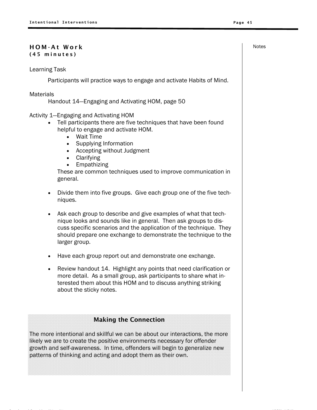### **HOM-At Work 2008 CONTROL** ( 4 5 mi nut e s )

Learning Task

Participants will practice ways to engage and activate Habits of Mind.

### **Materials**

Handout 14—Engaging and Activating HOM, page 50

- Activity 1—Engaging and Activating HOM
	- Tell participants there are five techniques that have been found helpful to engage and activate HOM.
		- Wait Time
		- Supplying Information
		- Accepting without Judgment
		- Clarifying
		- Empathizing

These are common techniques used to improve communication in general.

- Divide them into five groups. Give each group one of the five techniques.
- Ask each group to describe and give examples of what that technique looks and sounds like in general. Then ask groups to discuss specific scenarios and the application of the technique. They should prepare one exchange to demonstrate the technique to the larger group.
- Have each group report out and demonstrate one exchange.
- Review handout 14. Highlight any points that need clarification or more detail. As a small group, ask participants to share what interested them about this HOM and to discuss anything striking about the sticky notes.

### Making the Connection

The more intentional and skillful we can be about our interactions, the more likely we are to create the positive environments necessary for offender growth and self-awareness. In time, offenders will begin to generalize new patterns of thinking and acting and adopt them as their own.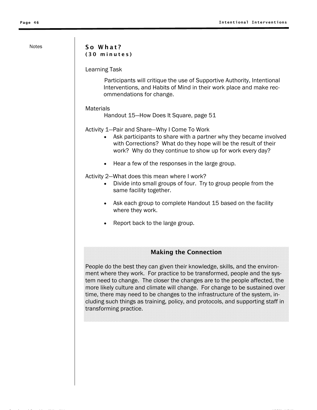### Notes | So What? ( 3 0 mi nut e s )

Learning Task

Participants will critique the use of Supportive Authority, Intentional Interventions, and Habits of Mind in their work place and make recommendations for change.

### **Materials**

Handout 15—How Does It Square, page 51

Activity 1—Pair and Share—Why I Come To Work

- Ask participants to share with a partner why they became involved with Corrections? What do they hope will be the result of their work? Why do they continue to show up for work every day?
- Hear a few of the responses in the large group.

Activity 2—What does this mean where I work?

- Divide into small groups of four. Try to group people from the same facility together.
- Ask each group to complete Handout 15 based on the facility where they work.
- Report back to the large group.

### Making the Connection

People do the best they can given their knowledge, skills, and the environment where they work. For practice to be transformed, people and the system need to change. The closer the changes are to the people affected, the more likely culture and climate will change. For change to be sustained over time, there may need to be changes to the infrastructure of the system, including such things as training, policy, and protocols, and supporting staff in transforming practice.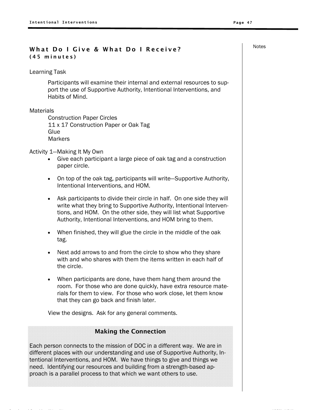## What Do I Give & What Do I Receive? (45 minutes)

### Learning Task

Participants will examine their internal and external resources to support the use of Supportive Authority, Intentional Interventions, and Habits of Mind.

### **Materials**

Construction Paper Circles 11 x 17 Construction Paper or Oak Tag **Glue Markers** 

Activity 1—Making It My Own

- Give each participant a large piece of oak tag and a construction paper circle.
- On top of the oak tag, participants will write—Supportive Authority, Intentional Interventions, and HOM.
- Ask participants to divide their circle in half. On one side they will write what they bring to Supportive Authority, Intentional Interventions, and HOM. On the other side, they will list what Supportive Authority, Intentional Interventions, and HOM bring to them.
- When finished, they will glue the circle in the middle of the oak tag.
- Next add arrows to and from the circle to show who they share with and who shares with them the items written in each half of the circle.
- When participants are done, have them hang them around the room. For those who are done quickly, have extra resource materials for them to view. For those who work close, let them know that they can go back and finish later.

View the designs. Ask for any general comments.

### Making the Connection

Each person connects to the mission of DOC in a different way. We are in different places with our understanding and use of Supportive Authority, Intentional Interventions, and HOM. We have things to give and things we need. Identifying our resources and building from a strength-based approach is a parallel process to that which we want others to use.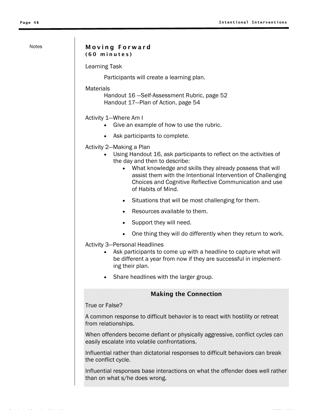### Notes | Moving Forward (60 minutes)

Learning Task

Participants will create a learning plan.

### **Materials**

Handout 16 —Self-Assessment Rubric, page 52 Handout 17—Plan of Action, page 54

### Activity 1—Where Am I

- Give an example of how to use the rubric.
- Ask participants to complete.

Activity 2—Making a Plan

- Using Handout 16, ask participants to reflect on the activities of the day and then to describe:
	- What knowledge and skills they already possess that will assist them with the Intentional Intervention of Challenging Choices and Cognitive Reflective Communication and use of Habits of Mind.
	- Situations that will be most challenging for them.
	- Resources available to them.
	- Support they will need.
	- One thing they will do differently when they return to work.

Activity 3—Personal Headlines

- Ask participants to come up with a headline to capture what will be different a year from now if they are successful in implementing their plan.
- Share headlines with the larger group.

### Making the Connection

### True or False?

A common response to difficult behavior is to react with hostility or retreat from relationships.

When offenders become defiant or physically aggressive, conflict cycles can easily escalate into volatile confrontations.

Influential rather than dictatorial responses to difficult behaviors can break the conflict cycle.

Influential responses base interactions on what the offender does well rather than on what s/he does wrong.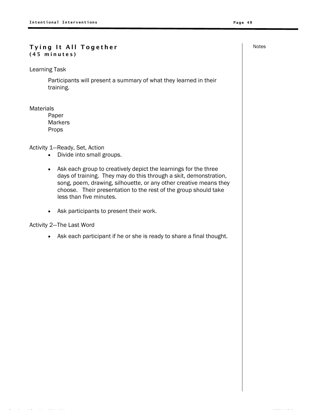### Tying It All Together Notes (45 minutes)

Learning Task

Participants will present a summary of what they learned in their training.

### **Materials**

Paper **Markers** Props

Activity 1—Ready, Set, Action

- Divide into small groups.
- Ask each group to creatively depict the learnings for the three days of training. They may do this through a skit, demonstration, song, poem, drawing, silhouette, or any other creative means they choose. Their presentation to the rest of the group should take less than five minutes.
- Ask participants to present their work.

Activity 2—The Last Word

• Ask each participant if he or she is ready to share a final thought.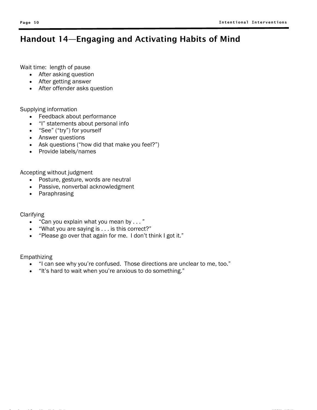# Handout 14—Engaging and Activating Habits of Mind

Wait time: length of pause

- After asking question
- After getting answer
- After offender asks question

Supplying information

- Feedback about performance
- "I" statements about personal info
- "See" ("try") for yourself
- Answer questions
- Ask questions ("how did that make you feel?")
- Provide labels/names

Accepting without judgment

- Posture, gesture, words are neutral
- Passive, nonverbal acknowledgment
- Paraphrasing

**Clarifying** 

- "Can you explain what you mean by . . . "
- "What you are saying is . . . is this correct?"
- "Please go over that again for me. I don't think I got it."

Empathizing

- "I can see why you're confused. Those directions are unclear to me, too."
- "It's hard to wait when you're anxious to do something."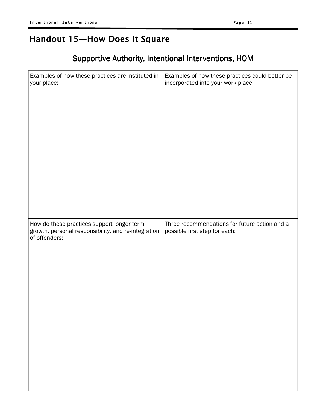# Handout 15—How Does It Square

# Supportive Authority, Intentional Interventions, HOM

| Examples of how these practices are instituted in                                                                  | Examples of how these practices could better be                                |
|--------------------------------------------------------------------------------------------------------------------|--------------------------------------------------------------------------------|
| your place:                                                                                                        | incorporated into your work place:                                             |
| How do these practices support longer-term<br>growth, personal responsibility, and re-integration<br>of offenders: | Three recommendations for future action and a<br>possible first step for each: |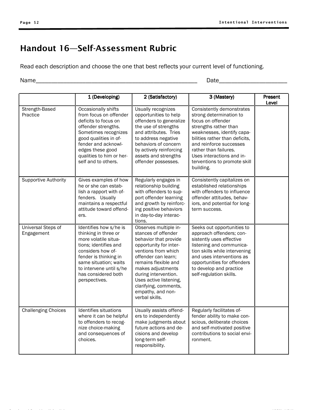# Handout 16—Self-Assessment Rubric

Read each description and choose the one that best reflects your current level of functioning.

Name\_\_\_\_\_\_\_\_\_\_\_\_\_\_\_\_\_\_\_\_\_\_\_\_\_\_\_\_\_\_\_\_\_\_\_\_\_\_\_\_\_\_\_\_\_\_\_\_\_\_\_\_ Date\_\_\_\_\_\_\_\_\_\_\_\_\_\_\_\_\_\_\_\_\_\_

|                                  | 1 (Developing)                                                                                                                                                                                                                              | 2 (Satisfactory)                                                                                                                                                                                                                                                                                             | 3 (Mastery)                                                                                                                                                                                                                                                                                      | Present<br>Level |
|----------------------------------|---------------------------------------------------------------------------------------------------------------------------------------------------------------------------------------------------------------------------------------------|--------------------------------------------------------------------------------------------------------------------------------------------------------------------------------------------------------------------------------------------------------------------------------------------------------------|--------------------------------------------------------------------------------------------------------------------------------------------------------------------------------------------------------------------------------------------------------------------------------------------------|------------------|
| Strength-Based<br>Practice       | Occasionally shifts<br>from focus on offender<br>deficits to focus on<br>offender strengths.<br>Sometimes recognizes<br>good qualities in of-<br>fender and acknowl-<br>edges these good<br>qualities to him or her-<br>self and to others. | Usually recognizes<br>opportunities to help<br>offenders to generalize<br>the use of strengths<br>and attributes. Tries<br>to address negative<br>behaviors of concern<br>by actively reinforcing<br>assets and strengths<br>offender possesses.                                                             | Consistently demonstrates<br>strong determination to<br>focus on offender<br>strengths rather than<br>weaknesses, identify capa-<br>bilities rather than deficits,<br>and reinforce successes<br>rather than failures.<br>Uses interactions and in-<br>terventions to promote skill<br>building. |                  |
| Supportive Authority             | Gives examples of how<br>he or she can estab-<br>lish a rapport with of-<br>fenders. Usually<br>maintains a respectful<br>attitude toward offend-<br>ers.                                                                                   | Regularly engages in<br>relationship building<br>with offenders to sup-<br>port offender learning<br>and growth by reinforc-<br>ing positive behaviors<br>in day-to-day interac-<br>tions.                                                                                                                   | Consistently capitalizes on<br>established relationships<br>with offenders to influence<br>offender attitudes, behav-<br>iors, and potential for long-<br>term success.                                                                                                                          |                  |
| Universal Steps of<br>Engagement | Identifies how s/he is<br>thinking in three or<br>more volatile situa-<br>tions; identifies and<br>considers how of-<br>fender is thinking in<br>same situation; waits<br>to intervene until s/he<br>has considered both<br>perspectives.   | Observes multiple in-<br>stances of offender<br>behavior that provide<br>opportunity for inter-<br>ventions from which<br>offender can learn:<br>remains flexible and<br>makes adjustments<br>during intervention.<br>Uses active listening,<br>clarifying, comments,<br>empathy, and non-<br>verbal skills. | Seeks out opportunities to<br>approach offenders; con-<br>sistently uses effective<br>listening and communica-<br>tion skills while intervening<br>and uses interventions as<br>opportunities for offenders<br>to develop and practice<br>self-regulation skills.                                |                  |
| <b>Challenging Choices</b>       | Identifies situations<br>where it can be helpful<br>to offenders to recog-<br>nize choice-making<br>and consequences of<br>choices.                                                                                                         | Usually assists offend-<br>ers to independently<br>make judgments about<br>future actions and de-<br>cisions and develop<br>long-term self-<br>responsibility.                                                                                                                                               | Regularly facilitates of-<br>fender ability to make con-<br>scious, deliberate choices<br>and self-motivated positive<br>contributions to social envi-<br>ronment.                                                                                                                               |                  |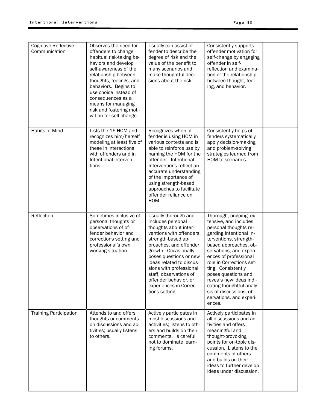| Cognitive-Reflective<br>Communication | Observes the need for<br>offenders to change<br>habitual risk-taking be-<br>haviors and develop<br>self-awareness of the<br>relationship between<br>thoughts, feelings, and<br>behaviors. Begins to<br>use choice instead of<br>consequences as a<br>means for managing<br>risk and fostering moti-<br>vation for self-change. | Usually can assist of-<br>fender to describe the<br>degree of risk and the<br>value of the benefit to<br>many scenarios and<br>make thoughtful deci-<br>sions about the risk.                                                                                                                                                                          | Consistently supports<br>offender motivation for<br>self-change by engaging<br>offender in self-<br>reflection and examina-<br>tion of the relationship<br>between thought, feel-<br>ing, and behavior.                                                                                                                                                                                                    |  |
|---------------------------------------|--------------------------------------------------------------------------------------------------------------------------------------------------------------------------------------------------------------------------------------------------------------------------------------------------------------------------------|--------------------------------------------------------------------------------------------------------------------------------------------------------------------------------------------------------------------------------------------------------------------------------------------------------------------------------------------------------|------------------------------------------------------------------------------------------------------------------------------------------------------------------------------------------------------------------------------------------------------------------------------------------------------------------------------------------------------------------------------------------------------------|--|
| Habits of Mind                        | Lists the 16 HOM and<br>recognizes him/herself<br>modeling at least five of<br>these in interactions<br>with offenders and in<br>Intentional Interven-<br>tions.                                                                                                                                                               | Recognizes when of-<br>fender is using HOM in<br>various contexts and is<br>able to reinforce use by<br>naming the HOM for the<br>offender. Intentional<br>Interventions reflect an<br>accurate understanding<br>of the importance of<br>using strength-based<br>approaches to facilitate<br>offender reliance on<br>HOM.                              | Consistently helps of-<br>fenders systematically<br>apply decision-making<br>and problem-solving<br>strategies learned from<br>HOM to scenarios.                                                                                                                                                                                                                                                           |  |
| Reflection                            | Sometimes inclusive of<br>personal thoughts or<br>observations of of-<br>fender behavior and<br>corrections setting and<br>professional's own<br>working situation.                                                                                                                                                            | Usually thorough and<br>includes personal<br>thoughts about inter-<br>ventions with offenders,<br>strength-based ap-<br>proaches, and offender<br>growth. Occasionally<br>poses questions or new<br>ideas related to discus-<br>sions with professional<br>staff, observations of<br>offender behavior, or<br>experiences in Correc-<br>tions setting. | Thorough, ongoing, ex-<br>tensive, and includes<br>personal thoughts re-<br>garding Intentional In-<br>terventions, strength-<br>based approaches, ob-<br>servations, and experi-<br>ences of professional<br>role in Corrections set-<br>ting. Consistently<br>poses questions and<br>reveals new ideas indi-<br>cating thoughtful analy-<br>sis of discussions, ob-<br>servations, and experi-<br>ences. |  |
| <b>Training Participation</b>         | Attends to and offers<br>thoughts or comments<br>on discussions and ac-<br>tivities; usually listens<br>to others.                                                                                                                                                                                                             | Actively participates in<br>most discussions and<br>activities; listens to oth-<br>ers and builds on their<br>comments. Is careful<br>not to dominate learn-<br>ing forums.                                                                                                                                                                            | Actively participates in<br>all discussions and ac-<br>tivities and offers<br>meaningful and<br>thought-provoking<br>points for on-topic dis-<br>cussion. Listens to the<br>comments of others<br>and builds on their<br>ideas to further develop<br>ideas under discussion.                                                                                                                               |  |